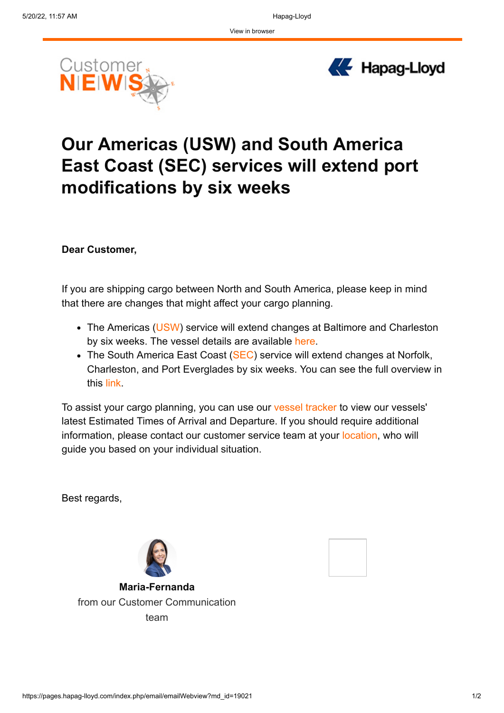



## **Our Americas (USW) and South America East Coast (SEC) services will extend port modifications by six weeks**

**Dear Customer,**

If you are shipping cargo between North and South America, please keep in mind that there are changes that might affect your cargo planning.

- The Americas [\(USW](https://campaigns.hapag-lloyd.com/ol/hk1SdMXNdlhd6BAvuMS1CPq9yniYKsz49vEwWK62gJ5zyVpxdqGJNVLogdcMTNQ2bO3DUUQDHc0xhglRHr2ZfZAO_vRTDGG9VDzxzq7IaMtbeLAuiZcwqvH2jjZDqdWHkVf_HEJTEiU5MVHJOvklnCn1Mc1lGUU,/jExUdcPLKFlNoVdlsbPWNb760T3Bapmv9rBxBu7inMwx1Ad7fKPcPVP5gdBUD987a--REw8RB5luzkNKFfWBeZMN7udcD0ShFynwlbXffMJcfqFn2Yxn9qah3XJLosmPnhPCBl0aSE5taQOPYLwhyzHmJJktYAKK_2nINoZsqRs_y7UQ2570cLigxGev_hno9j6UGGd1yfKSukaRKKxLuvYmmkdy-gQSfu_n2wGfw6UHmgQy3vpclDBlxulQbexX5DStcRL6y4nJHbpjTeOXvPL9i9Uqbkc-stwafUv5PXWMCo7BYAhZwgScxmcsGgxYCTNlJ-UalAihkVdWWdFZXjCXmS811Fs11IIPx7jz6A,,)) service will extend changes at Baltimore and Charleston by six weeks. The vessel details are available [here.](https://campaigns.hapag-lloyd.com/ol/hk1ScsfMdlhd6BAvuMS1CPq9yniYKsz49vEwWK62gJ5zyVpxdqGJNVLogdcMTNQ2bO3DUUQDHc0xhglRHr2ZfZAO_vRTDGG9VDzxzq7IaMtbeLAuiZcwqvH2jjZDqdWHkVf_HEJTEiM-PFTOMPklnCn1Mc1lGUU,/jEpTeMbMIllNoVdlsbPWNb760T3Bapmv9rBxBu7inMwx1Ad7fKPcPVP5gdBUD987a--REw8RB5luzkNWH_eGM9IQqKcSWxT9VTrm0fiXep5ZPLV-2dNo_Km2lXMAuMuLkVmBGUAcVDx5dAKcfbozyjXzPZx8UgiTxW_OPtoNhiMSqYsM-6GiLamZ30aB1GXhyTPYJgVJ586K0mjkDYBIqPUIlFcP8XwsTfXUrhD4xpsBhhAi2upG305i-apXDNln1zuKX33q3dbMSc1GVpuNlearpdcBXAkn29c6UFnnBliMIYCsfzpV3T-AuA9vKStNJzZMGds6kzrTpEpRLg,,)
- The South America East Coast ([SEC\)](https://campaigns.hapag-lloyd.com/ol/hk1TeMXNdlhd6BAvuMS1CPq9yniYKsz49vEwWK62gJ5zyVpxdqGJNVLogdcMTNQ2bO3DUUQDHc0xhglRHr2ZfZAO_vRTDGG9VDzxzq7IaMtbeLAuiZcwqvH2jjZDqdWHkVf_HEJTEiU5NlfPMfklnCn1Mc1lGUU,/jExUcsXNI1lNoVdlsbPWNb760T3Bapmv9rBxBu7inMwx1Ad7fKPcPVP5gdBUD987a--REw8RB5luzkNKFfWBeZMN7udcD0ShFynwlbXffMJcfqFn2Yxn9qah3XJLosmPnhPCBl0aSE5taQOPYLwhyzHmJJktYAKK_2nINoZsrw0ry7UQ2570cLigxGev_hno9j6UGGd1yfKSukaRKKxLuvYmmkdy-gQSfu_n2wGfw6UHmgQy3vpclDBlxulQbexX5DStcRL6y4nJHbpjTeOXvPL9i9Uqbkc-stwafUv5PXWMCo7BYAhZwgScxmcsGgxYCTNlJ-UalAihkVdWWdFZXjCXmS811Fs11IIPx7jz6A,,) service will extend changes at Norfolk, Charleston, and Port Everglades by six weeks. You can see the full overview in this [link.](https://campaigns.hapag-lloyd.com/ol/hk1Sc83Ldlhd6BAvuMS1CPq9yniYKsz49vEwWK62gJ5zyVpxdqGJNVLogdcMTNQ2bO3DUUQDHc0xhglRHr2ZfZAO_vRTDGG9VDzxzq7IaMtbeLAuiZcwqvH2jjZDqdWHkVf_HEJTEic4MFHIOPklnCn1Mc1lGUU,/jE5VdMPKKllNoVdlsbPWNb760T3Bapmv9rBxBu7inMwx1Ad7fKPcPVP5gdBUD987a--REw8RB5luzkNWH_eGM9IQqKcSWxT9VTrm0vKXfIhNPKd8ydVpsqmo3XIMqdzPl13fHQINT3B_cEuObK02jT7ifZ4sTQWI9nCMNo8ijiQNlqkL2N-ua7am_H-h8UHVoTqDPUJu7c6VpFSoAZU1ltwVgFUr4w0IZ-vszwPP748s-TwW0dlWrD1I0_okMp1c4xyYZhC75ZbafMpnaaOZic74jOgLIjsIj6IKVFjIBl2CXdiVdnRU3QODoR07MGJnH2luD8oGhj66uH8DbsEmdTekyHs371gX-qtm8IPMtze1RFTmERqpuQCIygm2ObUWw17Egu4rvA,,)

To assist your cargo planning, you can use our [vessel tracker](https://campaigns.hapag-lloyd.com/ol/hk1TccTJdlhd6BAvuMS1CPq9yniYKsz49vEwWK62gJ5zyVpxdqGJNVLogdcMTNQ2bO3DUUQDHc0xhglRHr2ZfZAO_vRTDGG9VDzxzq7IaMtbeLAuiZcwqvH2jjZDqdWHkVf_HEJTEiE8NV_OO_klnCn1Mc1lGUU,/jEhRcc3MKVlNoVdlsbPWNb760T3Bapmv9rBxBu7inMwx1Ad7fKPANk3mhtYcHochbOebEhFfB4JgwwcXDOWGb4VMt-FPCkK5XSmyk67WeplHfro91NVs8_eo03Q6vtKJz3LWAlUidnlBVw_Nc5IEsRzGEbcGWVWVrk_COpYbqHAJnJ839JuAa5it13mQ4GaLyQqKE3VS0ti07G3uXpRlzfItr04TwFMnJOnPugHB55Qxhxk-8bVupzRc4ewict1D1yWmXRvN7rv-V8xCbrmcqrXqrN4oaQgnv5EvUTjIGFDq) to view our vessels' latest Estimated Times of Arrival and Departure. If you should require additional information, please contact our customer service team at your [location,](https://campaigns.hapag-lloyd.com/ol/hk1ScsDKdlhd6BAvuMS1CPq9yniYKsz49vEwWK62gJ5zyVpxdqGJNVLogdcMTNQ2bO3DUUQDHc0xhglRHr2ZfZAO_vRTDGG9VDzxzq7IaMtbeLAuiZcwqvH2jjZDqdWHkVf_HEJTESg_NV7PPfklnCn1Mc1lGUU,/j0FScczNL1lNoVdlsbPWNb760T3Bapmv9rBxBu7inMwx1Ad7fKPcPVP5gdBUD987a--REw8RB5luzkNXHOacf4VTt_lSCEC-UTX5j-_Se4BCLrl4yP518KP49noOsPG0mnH_AB8UbVVZRSe8Tpom0i-zBJMsTjuzonrYF7QBlQMerqQo3KK-X_6RxHeH0Wvw9RqIBQMv6c7Nz3CsA65CmNZYtnh93FYDVfTY3DDDm6UPgRUs5bwlmTdYwNNxH-di1BWRegjP6KHCGPB-YbS0hvLGqPwDOQcGgNw,) who will guide you based on your individual situation.

Best regards,



**Maria-Fernanda** from our Customer Communication team